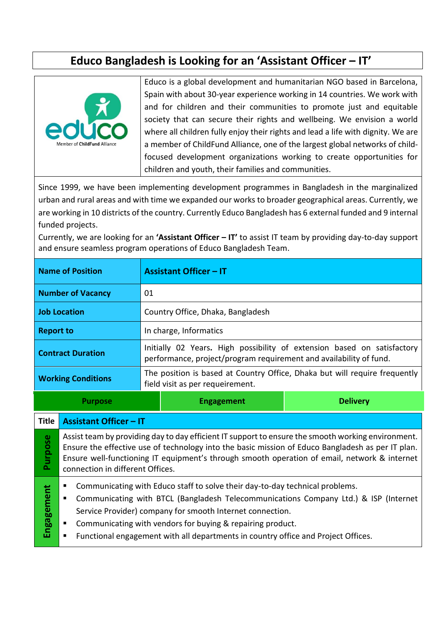# **Educo Bangladesh is Looking for an 'Assistant Officer – IT'**



**Purpose**

**Engagement**

Engagement

Educo is a global development and humanitarian NGO based in Barcelona, Spain with about 30-year experience working in 14 countries. We work with and for children and their communities to promote just and equitable society that can secure their rights and wellbeing. We envision a world where all children fully enjoy their rights and lead a life with dignity. We are a member of ChildFund Alliance, one of the largest global networks of childfocused development organizations working to create opportunities for children and youth, their families and communities.

Since 1999, we have been implementing development programmes in Bangladesh in the marginalized urban and rural areas and with time we expanded our works to broader geographical areas. Currently, we are working in 10 districts of the country. Currently Educo Bangladesh has 6 external funded and 9 internal funded projects.

Currently, we are looking for an **'Assistant Officer – IT'** to assist IT team by providing day-to-day support and ensure seamless program operations of Educo Bangladesh Team.

| <b>Name of Position</b>   |                                                                                                                                                                                                         | <b>Assistant Officer - IT</b>                                                                                                                 |                   |                 |  |
|---------------------------|---------------------------------------------------------------------------------------------------------------------------------------------------------------------------------------------------------|-----------------------------------------------------------------------------------------------------------------------------------------------|-------------------|-----------------|--|
| <b>Number of Vacancy</b>  |                                                                                                                                                                                                         | 01                                                                                                                                            |                   |                 |  |
| <b>Job Location</b>       |                                                                                                                                                                                                         | Country Office, Dhaka, Bangladesh                                                                                                             |                   |                 |  |
| <b>Report to</b>          |                                                                                                                                                                                                         | In charge, Informatics                                                                                                                        |                   |                 |  |
| <b>Contract Duration</b>  |                                                                                                                                                                                                         | Initially 02 Years. High possibility of extension based on satisfactory<br>performance, project/program requirement and availability of fund. |                   |                 |  |
| <b>Working Conditions</b> |                                                                                                                                                                                                         | The position is based at Country Office, Dhaka but will require frequently<br>field visit as per requeirement.                                |                   |                 |  |
| <b>Purpose</b>            |                                                                                                                                                                                                         |                                                                                                                                               | <b>Engagement</b> | <b>Delivery</b> |  |
| <b>Title</b>              | <b>Assistant Officer - IT</b>                                                                                                                                                                           |                                                                                                                                               |                   |                 |  |
| ose                       | Assist team by providing day to day efficient IT support to ensure the smooth working environment.<br>Ensure the effective use of technology into the basic mission of Educo Bangladesh as per IT plan. |                                                                                                                                               |                   |                 |  |

Ensure the effective use of technology into the basic mission of Educo Bangladesh as per IT plan. Ensure well-functioning IT equipment's through smooth operation of email, network & internet connection in different Offices.

- Communicating with Educo staff to solve their day-to-day technical problems.
- Communicating with BTCL (Bangladesh Telecommunications Company Ltd.) & ISP (Internet Service Provider) company for smooth Internet connection.
- Communicating with vendors for buying & repairing product.
- Functional engagement with all departments in country office and Project Offices.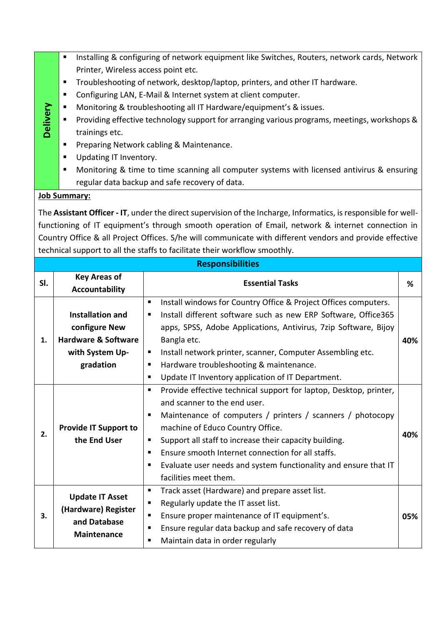- Installing & configuring of network equipment like Switches, Routers, network cards, Network Printer, Wireless access point etc.
- Troubleshooting of network, desktop/laptop, printers, and other IT hardware.
- Configuring LAN, E-Mail & Internet system at client computer.
- Monitoring & troubleshooting all IT Hardware/equipment's & issues.
- Providing effective technology support for arranging various programs, meetings, workshops & trainings etc.
- Preparing Network cabling & Maintenance.
- **Updating IT Inventory.**
- Monitoring & time to time scanning all computer systems with licensed antivirus & ensuring regular data backup and safe recovery of data.

#### **Job Summary:**

**Delivery**

The **Assistant Officer - IT**, under the direct supervision of the Incharge, Informatics, is responsible for wellfunctioning of IT equipment's through smooth operation of Email, network & internet connection in Country Office & all Project Offices. S/he will communicate with different vendors and provide effective technical support to all the staffs to facilitate their workflow smoothly.

| <b>Responsibilities</b> |                                                                                                            |                                                                                                                                                                                                                                                                                                                                                                                                                                                                   |     |  |  |
|-------------------------|------------------------------------------------------------------------------------------------------------|-------------------------------------------------------------------------------------------------------------------------------------------------------------------------------------------------------------------------------------------------------------------------------------------------------------------------------------------------------------------------------------------------------------------------------------------------------------------|-----|--|--|
| SI.                     | <b>Key Areas of</b><br><b>Accountability</b>                                                               | <b>Essential Tasks</b>                                                                                                                                                                                                                                                                                                                                                                                                                                            |     |  |  |
| 1.                      | <b>Installation and</b><br>configure New<br><b>Hardware &amp; Software</b><br>with System Up-<br>gradation | Install windows for Country Office & Project Offices computers.<br>п<br>Install different software such as new ERP Software, Office365<br>٠<br>apps, SPSS, Adobe Applications, Antivirus, 7zip Software, Bijoy<br>Bangla etc.<br>Install network printer, scanner, Computer Assembling etc.<br>п<br>Hardware troubleshooting & maintenance.<br>п<br>Update IT Inventory application of IT Department.<br>٠                                                        | 40% |  |  |
| 2.                      | <b>Provide IT Support to</b><br>the End User                                                               | Provide effective technical support for laptop, Desktop, printer,<br>$\blacksquare$<br>and scanner to the end user.<br>Maintenance of computers / printers / scanners / photocopy<br>п<br>machine of Educo Country Office.<br>Support all staff to increase their capacity building.<br>п<br>Ensure smooth Internet connection for all staffs.<br>٠<br>Evaluate user needs and system functionality and ensure that IT<br>$\blacksquare$<br>facilities meet them. | 40% |  |  |
| 3.                      | <b>Update IT Asset</b><br>(Hardware) Register<br>and Database<br><b>Maintenance</b>                        | Track asset (Hardware) and prepare asset list.<br>٠<br>Regularly update the IT asset list.<br>п<br>Ensure proper maintenance of IT equipment's.<br>$\blacksquare$<br>Ensure regular data backup and safe recovery of data<br>٠<br>Maintain data in order regularly<br>٠                                                                                                                                                                                           | 05% |  |  |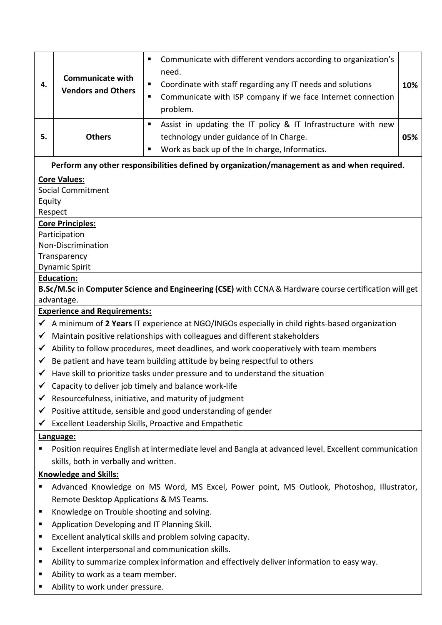| 4.                                                                                                                                        | <b>Communicate with</b><br><b>Vendors and Others</b>                                                  | Communicate with different vendors according to organization's<br>п<br>need.<br>Coordinate with staff regarding any IT needs and solutions<br>п<br>Communicate with ISP company if we face Internet connection<br>п<br>problem. | 10% |  |  |  |
|-------------------------------------------------------------------------------------------------------------------------------------------|-------------------------------------------------------------------------------------------------------|---------------------------------------------------------------------------------------------------------------------------------------------------------------------------------------------------------------------------------|-----|--|--|--|
| 5.                                                                                                                                        | <b>Others</b>                                                                                         | Assist in updating the IT policy & IT Infrastructure with new<br>п<br>technology under guidance of In Charge.<br>Work as back up of the In charge, Informatics.<br>п                                                            | 05% |  |  |  |
|                                                                                                                                           |                                                                                                       | Perform any other responsibilities defined by organization/management as and when required.                                                                                                                                     |     |  |  |  |
| <b>Core Values:</b><br><b>Social Commitment</b><br>Equity<br>Respect                                                                      |                                                                                                       |                                                                                                                                                                                                                                 |     |  |  |  |
| <b>Core Principles:</b><br>Participation<br>Non-Discrimination<br>Transparency<br><b>Dynamic Spirit</b>                                   |                                                                                                       |                                                                                                                                                                                                                                 |     |  |  |  |
| <b>Education:</b><br>B.Sc/M.Sc in Computer Science and Engineering (CSE) with CCNA & Hardware course certification will get<br>advantage. |                                                                                                       |                                                                                                                                                                                                                                 |     |  |  |  |
|                                                                                                                                           | <b>Experience and Requirements:</b>                                                                   |                                                                                                                                                                                                                                 |     |  |  |  |
|                                                                                                                                           |                                                                                                       | $\checkmark$ A minimum of 2 Years IT experience at NGO/INGOs especially in child rights-based organization                                                                                                                      |     |  |  |  |
| ✔                                                                                                                                         |                                                                                                       | Maintain positive relationships with colleagues and different stakeholders                                                                                                                                                      |     |  |  |  |
| $\checkmark$                                                                                                                              |                                                                                                       | Ability to follow procedures, meet deadlines, and work cooperatively with team members                                                                                                                                          |     |  |  |  |
| $\checkmark$                                                                                                                              |                                                                                                       | Be patient and have team building attitude by being respectful to others                                                                                                                                                        |     |  |  |  |
|                                                                                                                                           |                                                                                                       | Have skill to prioritize tasks under pressure and to understand the situation                                                                                                                                                   |     |  |  |  |
| ✔                                                                                                                                         |                                                                                                       | Capacity to deliver job timely and balance work-life                                                                                                                                                                            |     |  |  |  |
|                                                                                                                                           | Resourcefulness, initiative, and maturity of judgment                                                 |                                                                                                                                                                                                                                 |     |  |  |  |
| ✔                                                                                                                                         | Positive attitude, sensible and good understanding of gender                                          |                                                                                                                                                                                                                                 |     |  |  |  |
| ✔                                                                                                                                         | Excellent Leadership Skills, Proactive and Empathetic                                                 |                                                                                                                                                                                                                                 |     |  |  |  |
| Language:                                                                                                                                 |                                                                                                       |                                                                                                                                                                                                                                 |     |  |  |  |
|                                                                                                                                           | Position requires English at intermediate level and Bangla at advanced level. Excellent communication |                                                                                                                                                                                                                                 |     |  |  |  |
|                                                                                                                                           | skills, both in verbally and written.                                                                 |                                                                                                                                                                                                                                 |     |  |  |  |
| <b>Knowledge and Skills:</b>                                                                                                              |                                                                                                       |                                                                                                                                                                                                                                 |     |  |  |  |
| п                                                                                                                                         | Advanced Knowledge on MS Word, MS Excel, Power point, MS Outlook, Photoshop, Illustrator,             |                                                                                                                                                                                                                                 |     |  |  |  |
|                                                                                                                                           | Remote Desktop Applications & MS Teams.                                                               |                                                                                                                                                                                                                                 |     |  |  |  |
| п                                                                                                                                         | Knowledge on Trouble shooting and solving.                                                            |                                                                                                                                                                                                                                 |     |  |  |  |
| п                                                                                                                                         | Application Developing and IT Planning Skill.                                                         |                                                                                                                                                                                                                                 |     |  |  |  |
| п                                                                                                                                         | Excellent analytical skills and problem solving capacity.                                             |                                                                                                                                                                                                                                 |     |  |  |  |
| п                                                                                                                                         | Excellent interpersonal and communication skills.                                                     |                                                                                                                                                                                                                                 |     |  |  |  |
| Ξ                                                                                                                                         | Ability to summarize complex information and effectively deliver information to easy way.             |                                                                                                                                                                                                                                 |     |  |  |  |
|                                                                                                                                           | Ability to work as a team member.                                                                     |                                                                                                                                                                                                                                 |     |  |  |  |

■ Ability to work under pressure.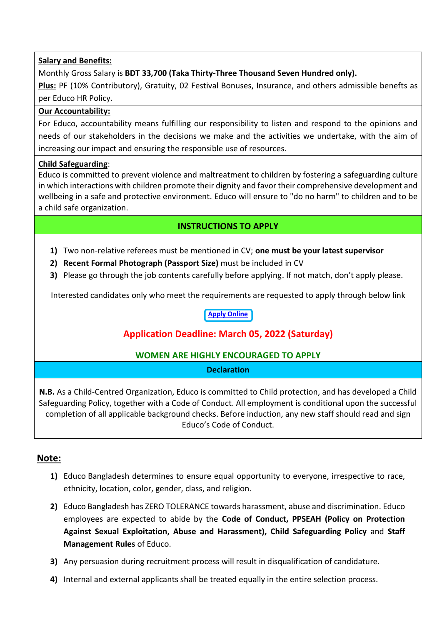#### **Salary and Benefits:**

Monthly Gross Salary is **BDT 33,700 (Taka Thirty-Three Thousand Seven Hundred only).**

**Plus:** PF (10% Contributory), Gratuity, 02 Festival Bonuses, Insurance, and others admissible benefts as per Educo HR Policy.

#### **Our Accountability:**

For Educo, accountability means fulfilling our responsibility to listen and respond to the opinions and needs of our stakeholders in the decisions we make and the activities we undertake, with the aim of increasing our impact and ensuring the responsible use of resources.

#### **Child Safeguarding**:

Educo is committed to prevent violence and maltreatment to children by fostering a safeguarding culture in which interactions with children promote their dignity and favor their comprehensive development and wellbeing in a safe and protective environment. Educo will ensure to "do no harm" to children and to be a child safe organization.

### **INSTRUCTIONS TO APPLY**

- **1)** Two non-relative referees must be mentioned in CV; **one must be your latest supervisor**
- **2) Recent Formal Photograph (Passport Size)** must be included in CV
- **3)** Please go through the job contents carefully before applying. If not match, don't apply please.

Interested candidates only who meet the requirements are requested to apply through below link

#### **[Apply Online](https://hotjobs.bdjobs.com/jobs/educo/educo74.htm)**

## **Application Deadline: March 05, 2022 (Saturday)**

#### **WOMEN ARE HIGHLY ENCOURAGED TO APPLY**

#### **Declaration**

**N.B.** As a Child-Centred Organization, Educo is committed to Child protection, and has developed a Child Safeguarding Policy, together with a Code of Conduct. All employment is conditional upon the successful completion of all applicable background checks. Before induction, any new staff should read and sign Educo's Code of Conduct.

#### **Note:**

- **1)** Educo Bangladesh determines to ensure equal opportunity to everyone, irrespective to race, ethnicity, location, color, gender, class, and religion.
- **2)** Educo Bangladesh has ZERO TOLERANCE towards harassment, abuse and discrimination. Educo employees are expected to abide by the **Code of Conduct, PPSEAH (Policy on Protection Against Sexual Exploitation, Abuse and Harassment), Child Safeguarding Policy** and **Staff Management Rules** of Educo.
- **3)** Any persuasion during recruitment process will result in disqualification of candidature.
- **4)** Internal and external applicants shall be treated equally in the entire selection process.